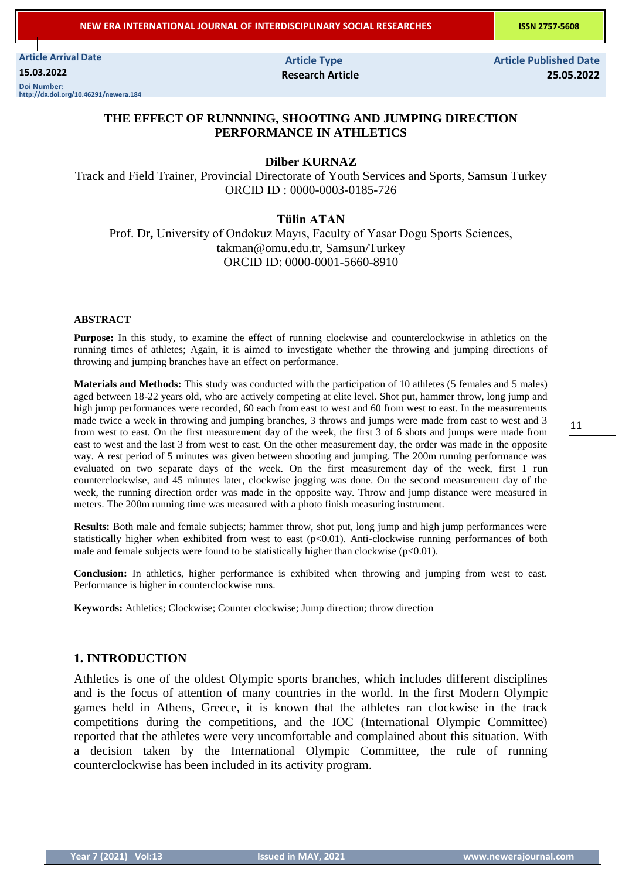**NEW ERA INTERNATIONAL JOURNAL OF INTERDISCIPLINARY SOCIAL RESEARCHES ISSN 2757-5608** 

**Article Arrival Date 15.03.2022 Doi Number: http://dx.doi.org/10.46291/newera.184**

 **Article Type Article Published Date Research Article 25.05.2022**

11

## **THE EFFECT OF RUNNNING, SHOOTING AND JUMPING DIRECTION PERFORMANCE IN ATHLETICS**

### **Dilber KURNAZ**

Track and Field Trainer, Provincial Directorate of Youth Services and Sports, Samsun Turkey ORCID ID : 0000-0003-0185-726

### **Tülin ATAN**

Prof. Dr**,** University of Ondokuz Mayıs, Faculty of Yasar Dogu Sports Sciences, takman@omu.edu.tr, Samsun/Turkey ORCID ID: 0000-0001-5660-8910

#### **ABSTRACT**

**Purpose:** In this study, to examine the effect of running clockwise and counterclockwise in athletics on the running times of athletes; Again, it is aimed to investigate whether the throwing and jumping directions of throwing and jumping branches have an effect on performance.

**Materials and Methods:** This study was conducted with the participation of 10 athletes (5 females and 5 males) aged between 18-22 years old, who are actively competing at elite level. Shot put, hammer throw, long jump and high jump performances were recorded, 60 each from east to west and 60 from west to east. In the measurements made twice a week in throwing and jumping branches, 3 throws and jumps were made from east to west and 3 from west to east. On the first measurement day of the week, the first 3 of 6 shots and jumps were made from east to west and the last 3 from west to east. On the other measurement day, the order was made in the opposite way. A rest period of 5 minutes was given between shooting and jumping. The 200m running performance was evaluated on two separate days of the week. On the first measurement day of the week, first 1 run counterclockwise, and 45 minutes later, clockwise jogging was done. On the second measurement day of the week, the running direction order was made in the opposite way. Throw and jump distance were measured in meters. The 200m running time was measured with a photo finish measuring instrument.

**Results:** Both male and female subjects; hammer throw, shot put, long jump and high jump performances were statistically higher when exhibited from west to east (p<0.01). Anti-clockwise running performances of both male and female subjects were found to be statistically higher than clockwise  $(p<0.01)$ .

**Conclusion:** In athletics, higher performance is exhibited when throwing and jumping from west to east. Performance is higher in counterclockwise runs.

**Keywords:** Athletics; Clockwise; Counter clockwise; Jump direction; throw direction

# **1. INTRODUCTION**

Athletics is one of the oldest Olympic sports branches, which includes different disciplines and is the focus of attention of many countries in the world. In the first Modern Olympic games held in Athens, Greece, it is known that the athletes ran clockwise in the track competitions during the competitions, and the IOC (International Olympic Committee) reported that the athletes were very uncomfortable and complained about this situation. With a decision taken by the International Olympic Committee, the rule of running counterclockwise has been included in its activity program.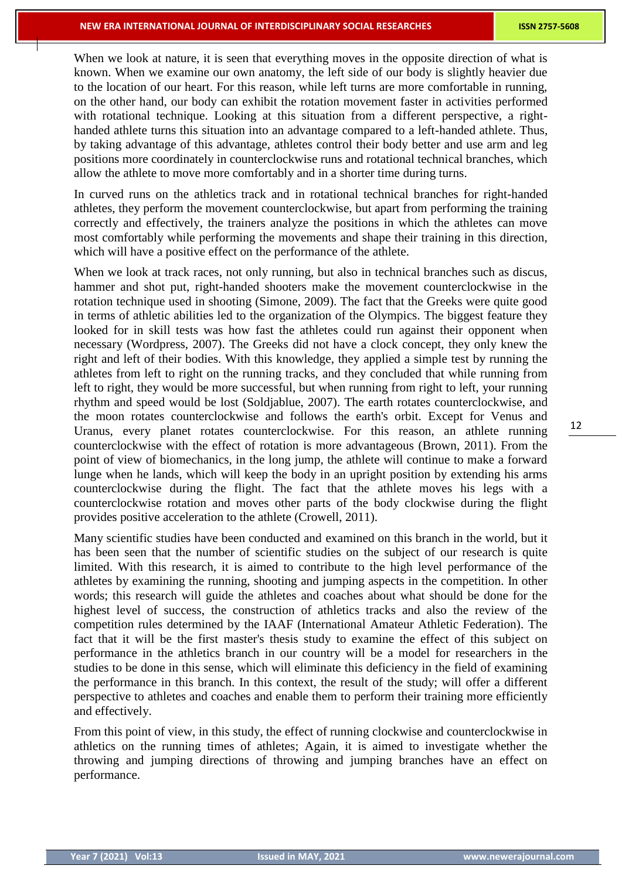When we look at nature, it is seen that everything moves in the opposite direction of what is known. When we examine our own anatomy, the left side of our body is slightly heavier due to the location of our heart. For this reason, while left turns are more comfortable in running, on the other hand, our body can exhibit the rotation movement faster in activities performed with rotational technique. Looking at this situation from a different perspective, a righthanded athlete turns this situation into an advantage compared to a left-handed athlete. Thus, by taking advantage of this advantage, athletes control their body better and use arm and leg positions more coordinately in counterclockwise runs and rotational technical branches, which allow the athlete to move more comfortably and in a shorter time during turns.

In curved runs on the athletics track and in rotational technical branches for right-handed athletes, they perform the movement counterclockwise, but apart from performing the training correctly and effectively, the trainers analyze the positions in which the athletes can move most comfortably while performing the movements and shape their training in this direction, which will have a positive effect on the performance of the athlete.

When we look at track races, not only running, but also in technical branches such as discus, hammer and shot put, right-handed shooters make the movement counterclockwise in the rotation technique used in shooting (Simone, 2009). The fact that the Greeks were quite good in terms of athletic abilities led to the organization of the Olympics. The biggest feature they looked for in skill tests was how fast the athletes could run against their opponent when necessary (Wordpress, 2007). The Greeks did not have a clock concept, they only knew the right and left of their bodies. With this knowledge, they applied a simple test by running the athletes from left to right on the running tracks, and they concluded that while running from left to right, they would be more successful, but when running from right to left, your running rhythm and speed would be lost (Soldjablue, 2007). The earth rotates counterclockwise, and the moon rotates counterclockwise and follows the earth's orbit. Except for Venus and Uranus, every planet rotates counterclockwise. For this reason, an athlete running counterclockwise with the effect of rotation is more advantageous (Brown, 2011). From the point of view of biomechanics, in the long jump, the athlete will continue to make a forward lunge when he lands, which will keep the body in an upright position by extending his arms counterclockwise during the flight. The fact that the athlete moves his legs with a counterclockwise rotation and moves other parts of the body clockwise during the flight provides positive acceleration to the athlete (Crowell, 2011).

Many scientific studies have been conducted and examined on this branch in the world, but it has been seen that the number of scientific studies on the subject of our research is quite limited. With this research, it is aimed to contribute to the high level performance of the athletes by examining the running, shooting and jumping aspects in the competition. In other words; this research will guide the athletes and coaches about what should be done for the highest level of success, the construction of athletics tracks and also the review of the competition rules determined by the IAAF (International Amateur Athletic Federation). The fact that it will be the first master's thesis study to examine the effect of this subject on performance in the athletics branch in our country will be a model for researchers in the studies to be done in this sense, which will eliminate this deficiency in the field of examining the performance in this branch. In this context, the result of the study; will offer a different perspective to athletes and coaches and enable them to perform their training more efficiently and effectively.

From this point of view, in this study, the effect of running clockwise and counterclockwise in athletics on the running times of athletes; Again, it is aimed to investigate whether the throwing and jumping directions of throwing and jumping branches have an effect on performance.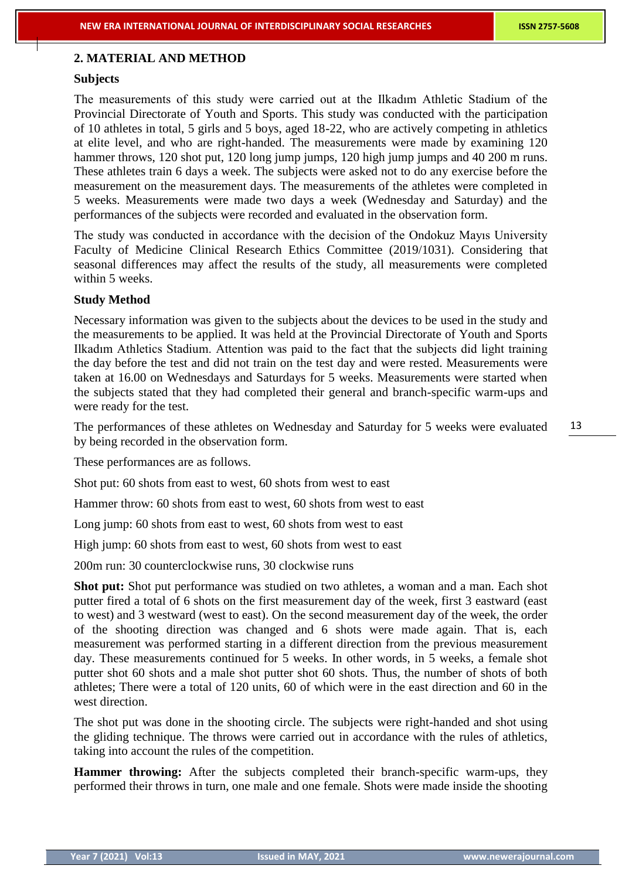## **2. MATERIAL AND METHOD**

### **Subjects**

The measurements of this study were carried out at the Ilkadım Athletic Stadium of the Provincial Directorate of Youth and Sports. This study was conducted with the participation of 10 athletes in total, 5 girls and 5 boys, aged 18-22, who are actively competing in athletics at elite level, and who are right-handed. The measurements were made by examining 120 hammer throws, 120 shot put, 120 long jump jumps, 120 high jump jumps and 40 200 m runs. These athletes train 6 days a week. The subjects were asked not to do any exercise before the measurement on the measurement days. The measurements of the athletes were completed in 5 weeks. Measurements were made two days a week (Wednesday and Saturday) and the performances of the subjects were recorded and evaluated in the observation form.

The study was conducted in accordance with the decision of the Ondokuz Mayıs University Faculty of Medicine Clinical Research Ethics Committee (2019/1031). Considering that seasonal differences may affect the results of the study, all measurements were completed within 5 weeks.

### **Study Method**

Necessary information was given to the subjects about the devices to be used in the study and the measurements to be applied. It was held at the Provincial Directorate of Youth and Sports Ilkadım Athletics Stadium. Attention was paid to the fact that the subjects did light training the day before the test and did not train on the test day and were rested. Measurements were taken at 16.00 on Wednesdays and Saturdays for 5 weeks. Measurements were started when the subjects stated that they had completed their general and branch-specific warm-ups and were ready for the test.

The performances of these athletes on Wednesday and Saturday for 5 weeks were evaluated by being recorded in the observation form.

These performances are as follows.

Shot put: 60 shots from east to west, 60 shots from west to east

Hammer throw: 60 shots from east to west, 60 shots from west to east

Long jump: 60 shots from east to west, 60 shots from west to east

High jump: 60 shots from east to west, 60 shots from west to east

200m run: 30 counterclockwise runs, 30 clockwise runs

**Shot put:** Shot put performance was studied on two athletes, a woman and a man. Each shot putter fired a total of 6 shots on the first measurement day of the week, first 3 eastward (east to west) and 3 westward (west to east). On the second measurement day of the week, the order of the shooting direction was changed and 6 shots were made again. That is, each measurement was performed starting in a different direction from the previous measurement day. These measurements continued for 5 weeks. In other words, in 5 weeks, a female shot putter shot 60 shots and a male shot putter shot 60 shots. Thus, the number of shots of both athletes; There were a total of 120 units, 60 of which were in the east direction and 60 in the west direction.

The shot put was done in the shooting circle. The subjects were right-handed and shot using the gliding technique. The throws were carried out in accordance with the rules of athletics, taking into account the rules of the competition.

**Hammer throwing:** After the subjects completed their branch-specific warm-ups, they performed their throws in turn, one male and one female. Shots were made inside the shooting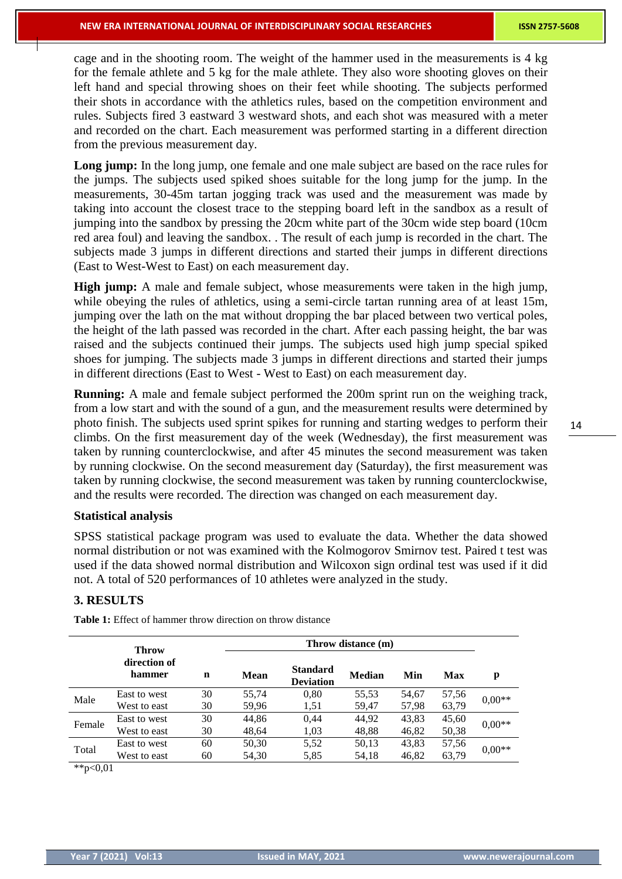cage and in the shooting room. The weight of the hammer used in the measurements is 4 kg for the female athlete and 5 kg for the male athlete. They also wore shooting gloves on their left hand and special throwing shoes on their feet while shooting. The subjects performed their shots in accordance with the athletics rules, based on the competition environment and rules. Subjects fired 3 eastward 3 westward shots, and each shot was measured with a meter and recorded on the chart. Each measurement was performed starting in a different direction from the previous measurement day.

Long jump: In the long jump, one female and one male subject are based on the race rules for the jumps. The subjects used spiked shoes suitable for the long jump for the jump. In the measurements, 30-45m tartan jogging track was used and the measurement was made by taking into account the closest trace to the stepping board left in the sandbox as a result of jumping into the sandbox by pressing the 20cm white part of the 30cm wide step board (10cm red area foul) and leaving the sandbox. . The result of each jump is recorded in the chart. The subjects made 3 jumps in different directions and started their jumps in different directions (East to West-West to East) on each measurement day.

**High jump:** A male and female subject, whose measurements were taken in the high jump, while obeying the rules of athletics, using a semi-circle tartan running area of at least 15m, jumping over the lath on the mat without dropping the bar placed between two vertical poles, the height of the lath passed was recorded in the chart. After each passing height, the bar was raised and the subjects continued their jumps. The subjects used high jump special spiked shoes for jumping. The subjects made 3 jumps in different directions and started their jumps in different directions (East to West - West to East) on each measurement day.

**Running:** A male and female subject performed the 200m sprint run on the weighing track, from a low start and with the sound of a gun, and the measurement results were determined by photo finish. The subjects used sprint spikes for running and starting wedges to perform their climbs. On the first measurement day of the week (Wednesday), the first measurement was taken by running counterclockwise, and after 45 minutes the second measurement was taken by running clockwise. On the second measurement day (Saturday), the first measurement was taken by running clockwise, the second measurement was taken by running counterclockwise, and the results were recorded. The direction was changed on each measurement day.

#### **Statistical analysis**

SPSS statistical package program was used to evaluate the data. Whether the data showed normal distribution or not was examined with the Kolmogorov Smirnov test. Paired t test was used if the data showed normal distribution and Wilcoxon sign ordinal test was used if it did not. A total of 520 performances of 10 athletes were analyzed in the study.

### **3. RESULTS**

|        | <b>Throw</b><br>direction of<br>hammer |    |       |                                     |        |       |       |          |
|--------|----------------------------------------|----|-------|-------------------------------------|--------|-------|-------|----------|
|        |                                        | n  | Mean  | <b>Standard</b><br><b>Deviation</b> | Median | Min   | Max   | p        |
| Male   | East to west                           | 30 | 55,74 | 0,80                                | 55,53  | 54,67 | 57,56 | $0.00**$ |
|        | West to east                           | 30 | 59,96 | 1,51                                | 59,47  | 57,98 | 63,79 |          |
| Female | East to west                           | 30 | 44.86 | 0.44                                | 44,92  | 43,83 | 45,60 | $0.00**$ |
|        | West to east                           | 30 | 48.64 | 1,03                                | 48,88  | 46,82 | 50,38 |          |
| Total  | East to west                           | 60 | 50,30 | 5,52                                | 50,13  | 43,83 | 57,56 |          |
|        | West to east                           | 60 | 54,30 | 5,85                                | 54,18  | 46,82 | 63,79 | $0.00**$ |
| .      |                                        |    |       |                                     |        |       |       |          |

**Table 1:** Effect of hammer throw direction on throw distance

\*\*p<0,01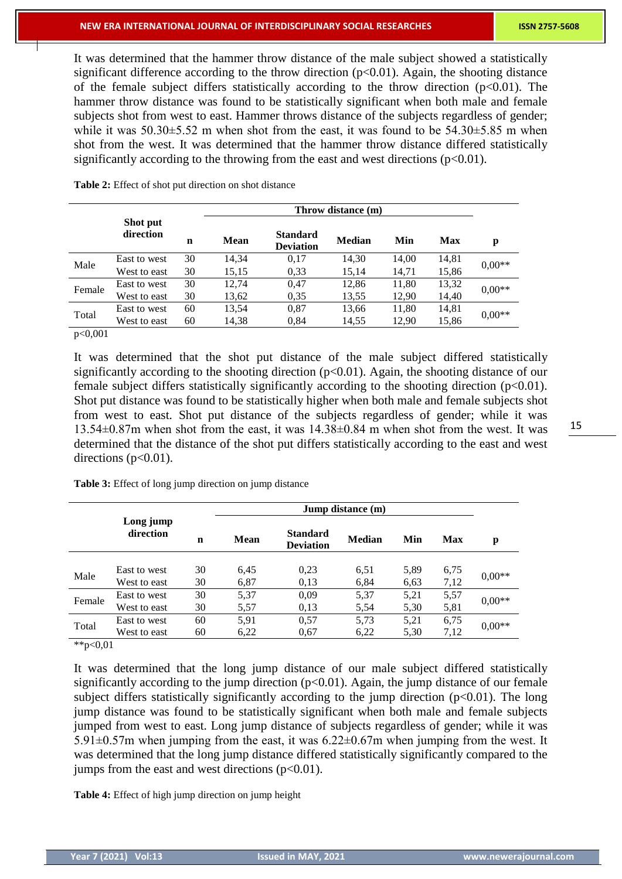It was determined that the hammer throw distance of the male subject showed a statistically significant difference according to the throw direction  $(p<0.01)$ . Again, the shooting distance of the female subject differs statistically according to the throw direction  $(p<0.01)$ . The hammer throw distance was found to be statistically significant when both male and female subjects shot from west to east. Hammer throws distance of the subjects regardless of gender; while it was  $50.30\pm5.52$  m when shot from the east, it was found to be  $54.30\pm5.85$  m when shot from the west. It was determined that the hammer throw distance differed statistically significantly according to the throwing from the east and west directions  $(p<0.01)$ .

|        |                       |    |             | Throw distance (m)                  |        |       |            |          |  |
|--------|-----------------------|----|-------------|-------------------------------------|--------|-------|------------|----------|--|
|        | Shot put<br>direction | n  | <b>Mean</b> | <b>Standard</b><br><b>Deviation</b> | Median | Min   | <b>Max</b> | p        |  |
| Male   | East to west          | 30 | 14,34       | 0,17                                | 14,30  | 14,00 | 14,81      | $0.00**$ |  |
|        | West to east          | 30 | 15,15       | 0,33                                | 15,14  | 14,71 | 15,86      |          |  |
| Female | East to west          | 30 | 12,74       | 0,47                                | 12,86  | 11,80 | 13,32      | $0.00**$ |  |
|        | West to east          | 30 | 13,62       | 0,35                                | 13,55  | 12,90 | 14,40      |          |  |
| Total  | East to west          | 60 | 13,54       | 0,87                                | 13,66  | 11,80 | 14,81      | $0.00**$ |  |
|        | West to east          | 60 | 14,38       | 0,84                                | 14,55  | 12,90 | 15,86      |          |  |

**Table 2:** Effect of shot put direction on shot distance

p<0,001

It was determined that the shot put distance of the male subject differed statistically significantly according to the shooting direction  $(p<0.01)$ . Again, the shooting distance of our female subject differs statistically significantly according to the shooting direction  $(p<0.01)$ . Shot put distance was found to be statistically higher when both male and female subjects shot from west to east. Shot put distance of the subjects regardless of gender; while it was 13.54±0.87m when shot from the east, it was 14.38±0.84 m when shot from the west. It was determined that the distance of the shot put differs statistically according to the east and west directions  $(p<0.01)$ .

| Table 3: Effect of long jump direction on jump distance |  |  |  |  |
|---------------------------------------------------------|--|--|--|--|
|---------------------------------------------------------|--|--|--|--|

|        |                        |    | Jump distance (m) |                                     |               |      |            |          |
|--------|------------------------|----|-------------------|-------------------------------------|---------------|------|------------|----------|
|        | Long jump<br>direction | n  | <b>Mean</b>       | <b>Standard</b><br><b>Deviation</b> | <b>Median</b> | Min  | <b>Max</b> | p        |
|        |                        |    |                   |                                     |               |      |            |          |
| Male   | East to west           | 30 | 6.45              | 0.23                                | 6.51          | 5,89 | 6,75       | $0.00**$ |
|        | West to east           | 30 | 6,87              | 0,13                                | 6,84          | 6.63 | 7,12       |          |
| Female | East to west           | 30 | 5,37              | 0,09                                | 5,37          | 5,21 | 5,57       | $0.00**$ |
|        | West to east           | 30 | 5,57              | 0.13                                | 5,54          | 5,30 | 5,81       |          |
| Total  | East to west           | 60 | 5,91              | 0,57                                | 5,73          | 5,21 | 6,75       | $0.00**$ |
|        | West to east           | 60 | 6,22              | 0.67                                | 6,22          | 5,30 | 7,12       |          |

 $*p<0,01$ 

It was determined that the long jump distance of our male subject differed statistically significantly according to the jump direction  $(p<0.01)$ . Again, the jump distance of our female subject differs statistically significantly according to the jump direction  $(p<0.01)$ . The long jump distance was found to be statistically significant when both male and female subjects jumped from west to east. Long jump distance of subjects regardless of gender; while it was 5.91 $\pm$ 0.57m when jumping from the east, it was 6.22 $\pm$ 0.67m when jumping from the west. It was determined that the long jump distance differed statistically significantly compared to the jumps from the east and west directions  $(p<0.01)$ .

**Table 4:** Effect of high jump direction on jump height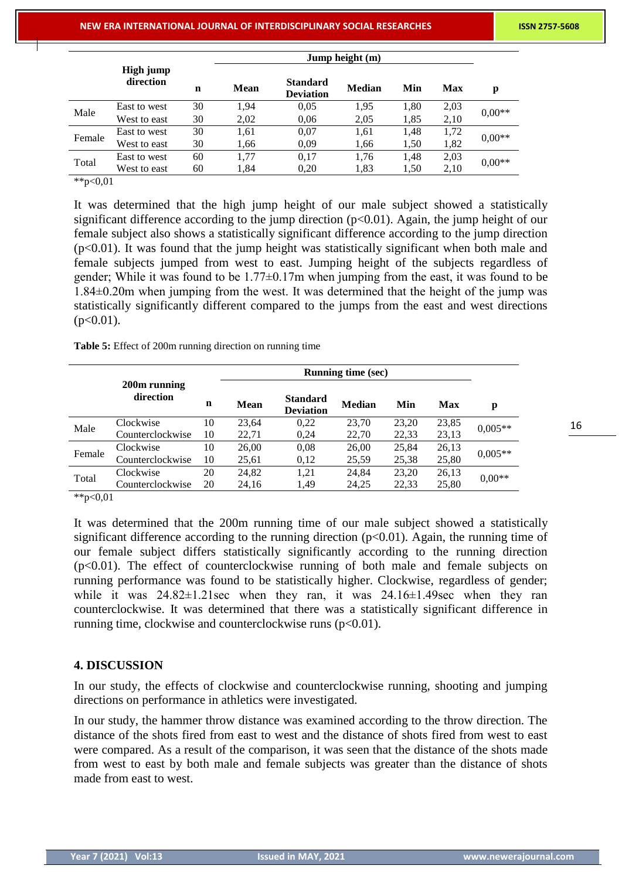|        | Jump height (m)        |    |             |                                     |               |      |      |          |
|--------|------------------------|----|-------------|-------------------------------------|---------------|------|------|----------|
|        | High jump<br>direction | n  | <b>Mean</b> | <b>Standard</b><br><b>Deviation</b> | <b>Median</b> | Min  | Max  | p        |
| Male   | East to west           | 30 | 1,94        | 0.05                                | 1,95          | 1,80 | 2,03 | $0.00**$ |
|        | West to east           | 30 | 2,02        | 0.06                                | 2,05          | 1,85 | 2,10 |          |
| Female | East to west           | 30 | 1,61        | 0,07                                | 1,61          | 1,48 | 1,72 | $0.00**$ |
|        | West to east           | 30 | 1,66        | 0.09                                | 1,66          | 1,50 | 1,82 |          |
| Total  | East to west           | 60 | 1,77        | 0,17                                | 1,76          | 1,48 | 2,03 | $0.00**$ |
|        | West to east           | 60 | 1,84        | 0,20                                | 1,83          | 1,50 | 2,10 |          |

 $*p < 0.01$ 

It was determined that the high jump height of our male subject showed a statistically significant difference according to the jump direction ( $p<0.01$ ). Again, the jump height of our female subject also shows a statistically significant difference according to the jump direction (p<0.01). It was found that the jump height was statistically significant when both male and female subjects jumped from west to east. Jumping height of the subjects regardless of gender; While it was found to be 1.77±0.17m when jumping from the east, it was found to be 1.84±0.20m when jumping from the west. It was determined that the height of the jump was statistically significantly different compared to the jumps from the east and west directions  $(p<0.01)$ .

**Table 5:** Effect of 200m running direction on running time

|        | 200m running<br>direction | n  | <b>Mean</b> | <b>Standard</b><br><b>Deviation</b> | Median | Min   | Max   | p         |
|--------|---------------------------|----|-------------|-------------------------------------|--------|-------|-------|-----------|
| Male   | Clockwise                 | 10 | 23.64       | 0.22                                | 23.70  | 23,20 | 23,85 | $0,005**$ |
|        | Counterclockwise          | 10 | 22,71       | 0.24                                | 22,70  | 22,33 | 23,13 |           |
| Female | Clockwise                 | 10 | 26,00       | 0,08                                | 26,00  | 25,84 | 26,13 | $0.005**$ |
|        | Counterclockwise          | 10 | 25,61       | 0,12                                | 25,59  | 25,38 | 25,80 |           |
| Total  | Clockwise                 | 20 | 24,82       | 1,21                                | 24,84  | 23,20 | 26,13 |           |
|        | Counterclockwise          | 20 | 24,16       | 1.49                                | 24,25  | 22,33 | 25,80 | $0.00**$  |
| .      |                           |    |             |                                     |        |       |       |           |

\*\*p<0,01

It was determined that the 200m running time of our male subject showed a statistically significant difference according to the running direction  $(p<0.01)$ . Again, the running time of our female subject differs statistically significantly according to the running direction  $(p<0.01)$ . The effect of counterclockwise running of both male and female subjects on running performance was found to be statistically higher. Clockwise, regardless of gender; while it was  $24.82 \pm 1.21$  sec when they ran, it was  $24.16 \pm 1.49$  sec when they ran counterclockwise. It was determined that there was a statistically significant difference in running time, clockwise and counterclockwise runs  $(p<0.01)$ .

# **4. DISCUSSION**

In our study, the effects of clockwise and counterclockwise running, shooting and jumping directions on performance in athletics were investigated.

In our study, the hammer throw distance was examined according to the throw direction. The distance of the shots fired from east to west and the distance of shots fired from west to east were compared. As a result of the comparison, it was seen that the distance of the shots made from west to east by both male and female subjects was greater than the distance of shots made from east to west.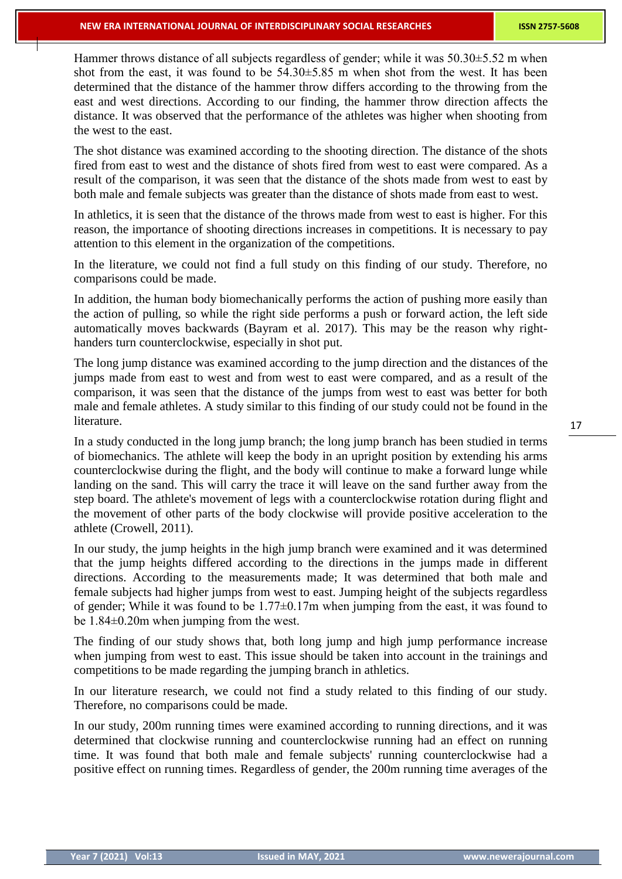Hammer throws distance of all subjects regardless of gender; while it was 50.30±5.52 m when shot from the east, it was found to be 54.30±5.85 m when shot from the west. It has been determined that the distance of the hammer throw differs according to the throwing from the east and west directions. According to our finding, the hammer throw direction affects the distance. It was observed that the performance of the athletes was higher when shooting from the west to the east.

The shot distance was examined according to the shooting direction. The distance of the shots fired from east to west and the distance of shots fired from west to east were compared. As a result of the comparison, it was seen that the distance of the shots made from west to east by both male and female subjects was greater than the distance of shots made from east to west.

In athletics, it is seen that the distance of the throws made from west to east is higher. For this reason, the importance of shooting directions increases in competitions. It is necessary to pay attention to this element in the organization of the competitions.

In the literature, we could not find a full study on this finding of our study. Therefore, no comparisons could be made.

In addition, the human body biomechanically performs the action of pushing more easily than the action of pulling, so while the right side performs a push or forward action, the left side automatically moves backwards (Bayram et al. 2017). This may be the reason why righthanders turn counterclockwise, especially in shot put.

The long jump distance was examined according to the jump direction and the distances of the jumps made from east to west and from west to east were compared, and as a result of the comparison, it was seen that the distance of the jumps from west to east was better for both male and female athletes. A study similar to this finding of our study could not be found in the literature.

In a study conducted in the long jump branch; the long jump branch has been studied in terms of biomechanics. The athlete will keep the body in an upright position by extending his arms counterclockwise during the flight, and the body will continue to make a forward lunge while landing on the sand. This will carry the trace it will leave on the sand further away from the step board. The athlete's movement of legs with a counterclockwise rotation during flight and the movement of other parts of the body clockwise will provide positive acceleration to the athlete (Crowell, 2011).

In our study, the jump heights in the high jump branch were examined and it was determined that the jump heights differed according to the directions in the jumps made in different directions. According to the measurements made; It was determined that both male and female subjects had higher jumps from west to east. Jumping height of the subjects regardless of gender; While it was found to be 1.77±0.17m when jumping from the east, it was found to be 1.84±0.20m when jumping from the west.

The finding of our study shows that, both long jump and high jump performance increase when jumping from west to east. This issue should be taken into account in the trainings and competitions to be made regarding the jumping branch in athletics.

In our literature research, we could not find a study related to this finding of our study. Therefore, no comparisons could be made.

In our study, 200m running times were examined according to running directions, and it was determined that clockwise running and counterclockwise running had an effect on running time. It was found that both male and female subjects' running counterclockwise had a positive effect on running times. Regardless of gender, the 200m running time averages of the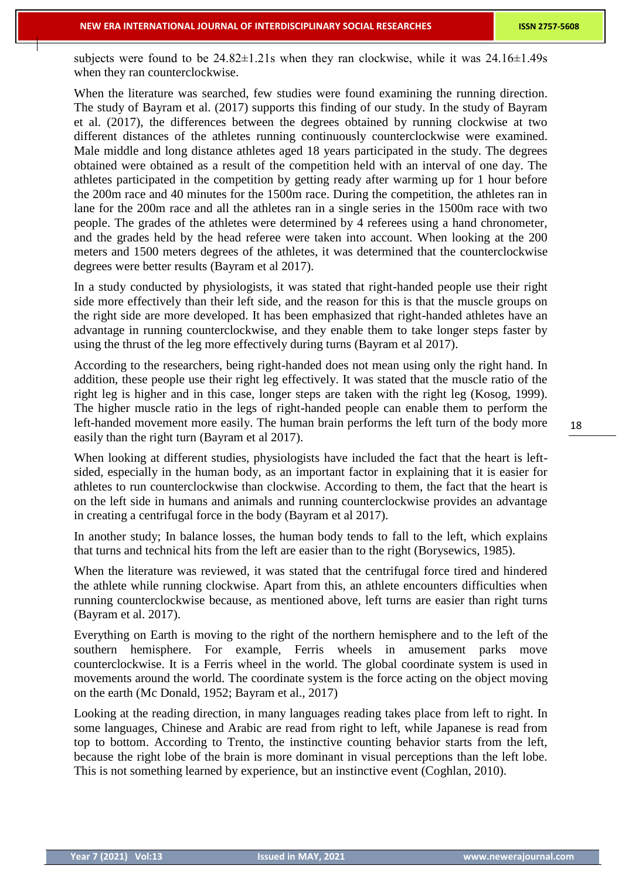subjects were found to be  $24.82 \pm 1.21$  when they ran clockwise, while it was  $24.16 \pm 1.49$  s when they ran counterclockwise.

When the literature was searched, few studies were found examining the running direction. The study of Bayram et al. (2017) supports this finding of our study. In the study of Bayram et al. (2017), the differences between the degrees obtained by running clockwise at two different distances of the athletes running continuously counterclockwise were examined. Male middle and long distance athletes aged 18 years participated in the study. The degrees obtained were obtained as a result of the competition held with an interval of one day. The athletes participated in the competition by getting ready after warming up for 1 hour before the 200m race and 40 minutes for the 1500m race. During the competition, the athletes ran in lane for the 200m race and all the athletes ran in a single series in the 1500m race with two people. The grades of the athletes were determined by 4 referees using a hand chronometer, and the grades held by the head referee were taken into account. When looking at the 200 meters and 1500 meters degrees of the athletes, it was determined that the counterclockwise degrees were better results (Bayram et al 2017).

In a study conducted by physiologists, it was stated that right-handed people use their right side more effectively than their left side, and the reason for this is that the muscle groups on the right side are more developed. It has been emphasized that right-handed athletes have an advantage in running counterclockwise, and they enable them to take longer steps faster by using the thrust of the leg more effectively during turns (Bayram et al 2017).

According to the researchers, being right-handed does not mean using only the right hand. In addition, these people use their right leg effectively. It was stated that the muscle ratio of the right leg is higher and in this case, longer steps are taken with the right leg (Kosog, 1999). The higher muscle ratio in the legs of right-handed people can enable them to perform the left-handed movement more easily. The human brain performs the left turn of the body more easily than the right turn (Bayram et al 2017).

When looking at different studies, physiologists have included the fact that the heart is leftsided, especially in the human body, as an important factor in explaining that it is easier for athletes to run counterclockwise than clockwise. According to them, the fact that the heart is on the left side in humans and animals and running counterclockwise provides an advantage in creating a centrifugal force in the body (Bayram et al 2017).

In another study; In balance losses, the human body tends to fall to the left, which explains that turns and technical hits from the left are easier than to the right (Borysewics, 1985).

When the literature was reviewed, it was stated that the centrifugal force tired and hindered the athlete while running clockwise. Apart from this, an athlete encounters difficulties when running counterclockwise because, as mentioned above, left turns are easier than right turns (Bayram et al. 2017).

Everything on Earth is moving to the right of the northern hemisphere and to the left of the southern hemisphere. For example, Ferris wheels in amusement parks move counterclockwise. It is a Ferris wheel in the world. The global coordinate system is used in movements around the world. The coordinate system is the force acting on the object moving on the earth (Mc Donald, 1952; Bayram et al., 2017)

Looking at the reading direction, in many languages reading takes place from left to right. In some languages, Chinese and Arabic are read from right to left, while Japanese is read from top to bottom. According to Trento, the instinctive counting behavior starts from the left, because the right lobe of the brain is more dominant in visual perceptions than the left lobe. This is not something learned by experience, but an instinctive event (Coghlan, 2010).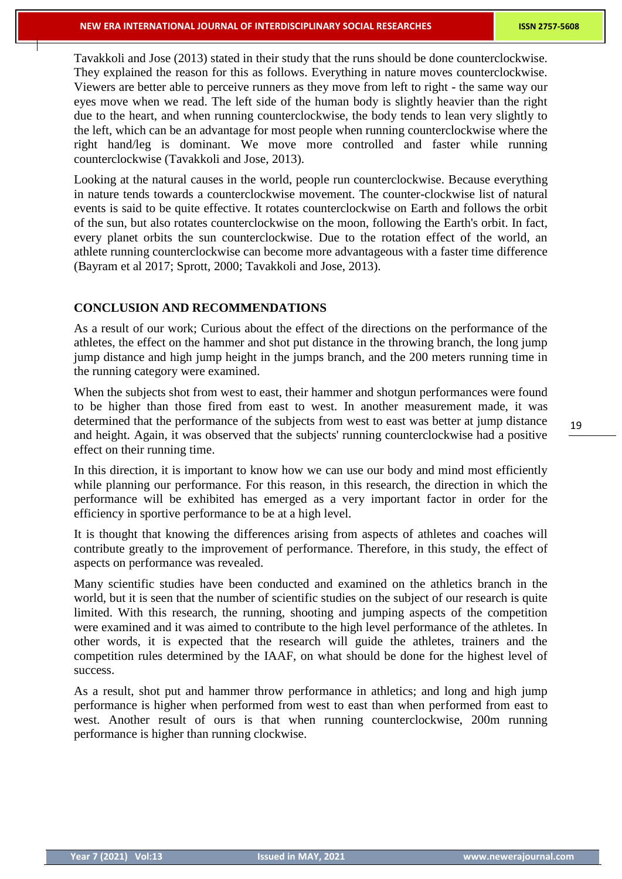Tavakkoli and Jose (2013) stated in their study that the runs should be done counterclockwise. They explained the reason for this as follows. Everything in nature moves counterclockwise. Viewers are better able to perceive runners as they move from left to right - the same way our eyes move when we read. The left side of the human body is slightly heavier than the right due to the heart, and when running counterclockwise, the body tends to lean very slightly to the left, which can be an advantage for most people when running counterclockwise where the right hand/leg is dominant. We move more controlled and faster while running counterclockwise (Tavakkoli and Jose, 2013).

Looking at the natural causes in the world, people run counterclockwise. Because everything in nature tends towards a counterclockwise movement. The counter-clockwise list of natural events is said to be quite effective. It rotates counterclockwise on Earth and follows the orbit of the sun, but also rotates counterclockwise on the moon, following the Earth's orbit. In fact, every planet orbits the sun counterclockwise. Due to the rotation effect of the world, an athlete running counterclockwise can become more advantageous with a faster time difference (Bayram et al 2017; Sprott, 2000; Tavakkoli and Jose, 2013).

## **CONCLUSION AND RECOMMENDATIONS**

As a result of our work; Curious about the effect of the directions on the performance of the athletes, the effect on the hammer and shot put distance in the throwing branch, the long jump jump distance and high jump height in the jumps branch, and the 200 meters running time in the running category were examined.

When the subjects shot from west to east, their hammer and shotgun performances were found to be higher than those fired from east to west. In another measurement made, it was determined that the performance of the subjects from west to east was better at jump distance and height. Again, it was observed that the subjects' running counterclockwise had a positive effect on their running time.

In this direction, it is important to know how we can use our body and mind most efficiently while planning our performance. For this reason, in this research, the direction in which the performance will be exhibited has emerged as a very important factor in order for the efficiency in sportive performance to be at a high level.

It is thought that knowing the differences arising from aspects of athletes and coaches will contribute greatly to the improvement of performance. Therefore, in this study, the effect of aspects on performance was revealed.

Many scientific studies have been conducted and examined on the athletics branch in the world, but it is seen that the number of scientific studies on the subject of our research is quite limited. With this research, the running, shooting and jumping aspects of the competition were examined and it was aimed to contribute to the high level performance of the athletes. In other words, it is expected that the research will guide the athletes, trainers and the competition rules determined by the IAAF, on what should be done for the highest level of success.

As a result, shot put and hammer throw performance in athletics; and long and high jump performance is higher when performed from west to east than when performed from east to west. Another result of ours is that when running counterclockwise, 200m running performance is higher than running clockwise.